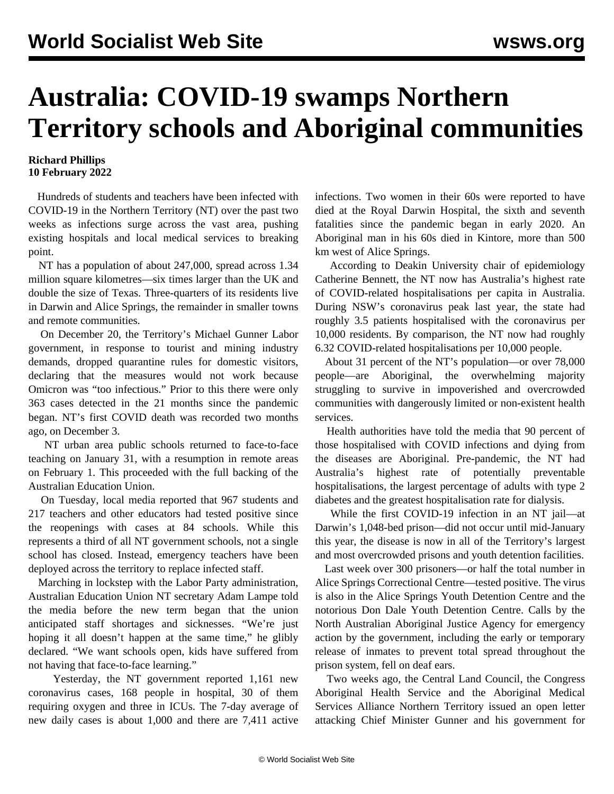## **Australia: COVID-19 swamps Northern Territory schools and Aboriginal communities**

## **Richard Phillips 10 February 2022**

 Hundreds of students and teachers have been infected with COVID-19 in the Northern Territory (NT) over the past two weeks as infections surge across the vast area, pushing existing hospitals and local medical services to breaking point.

 NT has a population of about 247,000, spread across 1.34 million square kilometres—six times larger than the UK and double the size of Texas. Three-quarters of its residents live in Darwin and Alice Springs, the remainder in smaller towns and remote communities.

 On December 20, the Territory's Michael Gunner Labor government, in response to tourist and mining industry demands, dropped quarantine rules for domestic visitors, declaring that the measures would not work because Omicron was "too infectious." Prior to this there were only 363 cases detected in the 21 months since the pandemic began. NT's first COVID death was recorded two months ago, on December 3.

 NT urban area public schools returned to face-to-face teaching on January 31, with a resumption in remote areas on February 1. This proceeded with the full backing of the Australian Education Union.

 On Tuesday, local media reported that 967 students and 217 teachers and other educators had tested positive since the reopenings with cases at 84 schools. While this represents a third of all NT government schools, not a single school has closed. Instead, emergency teachers have been deployed across the territory to replace infected staff.

 Marching in lockstep with the Labor Party administration, Australian Education Union NT secretary Adam Lampe told the media before the new term began that the union anticipated staff shortages and sicknesses. "We're just hoping it all doesn't happen at the same time," he glibly declared. "We want schools open, kids have suffered from not having that face-to-face learning."

 Yesterday, the NT government reported 1,161 new coronavirus cases, 168 people in hospital, 30 of them requiring oxygen and three in ICUs. The 7-day average of new daily cases is about 1,000 and there are 7,411 active infections. Two women in their 60s were reported to have died at the Royal Darwin Hospital, the sixth and seventh fatalities since the pandemic began in early 2020. An Aboriginal man in his 60s died in Kintore, more than 500 km west of Alice Springs.

 According to Deakin University chair of epidemiology Catherine Bennett, the NT now has Australia's highest rate of COVID-related hospitalisations per capita in Australia. During NSW's coronavirus peak last year, the state had roughly 3.5 patients hospitalised with the coronavirus per 10,000 residents. By comparison, the NT now had roughly 6.32 COVID-related hospitalisations per 10,000 people.

 About 31 percent of the NT's population—or over 78,000 people—are Aboriginal, the overwhelming majority struggling to survive in impoverished and overcrowded communities with dangerously limited or non-existent health services.

 Health authorities have told the media that 90 percent of those hospitalised with COVID infections and dying from the diseases are Aboriginal. Pre-pandemic, the NT had Australia's highest rate of potentially preventable hospitalisations, the largest percentage of adults with type 2 diabetes and the greatest hospitalisation rate for dialysis.

 While the first COVID-19 infection in an NT jail—at Darwin's 1,048-bed prison—did not occur until mid-January this year, the disease is now in all of the Territory's largest and most overcrowded prisons and youth detention facilities.

 Last week over 300 prisoners—or half the total number in Alice Springs Correctional Centre—tested positive. The virus is also in the Alice Springs Youth Detention Centre and the notorious Don Dale Youth Detention Centre. Calls by the North Australian Aboriginal Justice Agency for emergency action by the government, including the early or temporary release of inmates to prevent total spread throughout the prison system, fell on deaf ears.

 Two weeks ago, the Central Land Council, the Congress Aboriginal Health Service and the Aboriginal Medical Services Alliance Northern Territory issued an open letter attacking Chief Minister Gunner and his government for